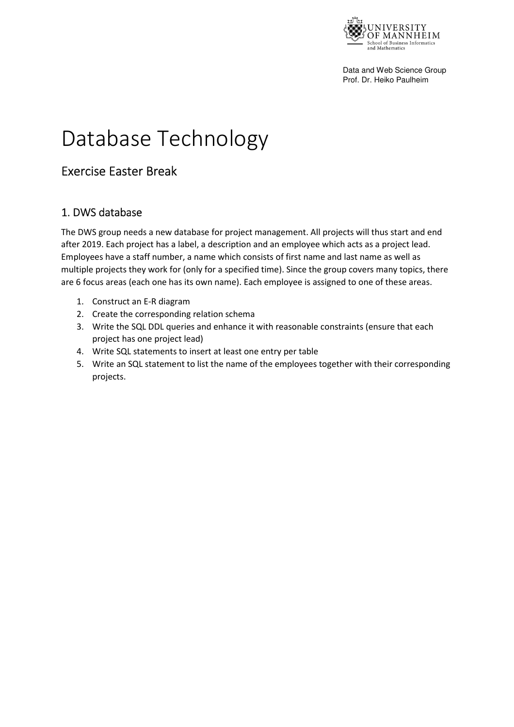

Data and Web Science Group Prof. Dr. Heiko Paulheim

## Database Technology

## Exercise Easter Break

## 1. DWS database

The DWS group needs a new database for project management. All projects will thus start and end after 2019. Each project has a label, a description and an employee which acts as a project lead. Employees have a staff number, a name which consists of first name and last name as well as multiple projects they work for (only for a specified time). Since the group covers many topics, there are 6 focus areas (each one has its own name). Each employee is assigned to one of these areas.

- 1. Construct an E-R diagram
- 2. Create the corresponding relation schema
- 3. Write the SQL DDL queries and enhance it with reasonable constraints (ensure that each project has one project lead)
- 4. Write SQL statements to insert at least one entry per table
- 5. Write an SQL statement to list the name of the employees together with their corresponding projects.